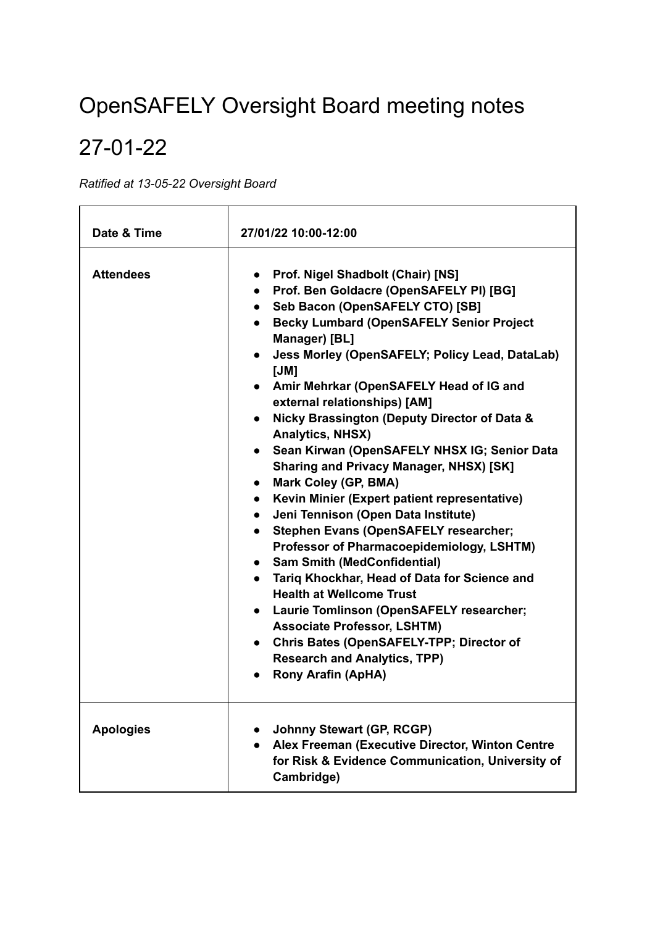# OpenSAFELY Oversight Board meeting notes

## 27-01-22

*Ratified at 13-05-22 Oversight Board*

| Date & Time      | 27/01/22 10:00-12:00                                                                                                                                                                                                                                                                                                                                                                                                                                                                                                                                                                                                                                                                                                                                                                                                                                                                                                                                                                                                                                                                                                         |  |  |  |
|------------------|------------------------------------------------------------------------------------------------------------------------------------------------------------------------------------------------------------------------------------------------------------------------------------------------------------------------------------------------------------------------------------------------------------------------------------------------------------------------------------------------------------------------------------------------------------------------------------------------------------------------------------------------------------------------------------------------------------------------------------------------------------------------------------------------------------------------------------------------------------------------------------------------------------------------------------------------------------------------------------------------------------------------------------------------------------------------------------------------------------------------------|--|--|--|
| <b>Attendees</b> | <b>Prof. Nigel Shadbolt (Chair) [NS]</b><br>$\bullet$<br>• Prof. Ben Goldacre (OpenSAFELY PI) [BG]<br>• Seb Bacon (OpenSAFELY CTO) [SB]<br>• Becky Lumbard (OpenSAFELY Senior Project<br>Manager) [BL]<br>• Jess Morley (OpenSAFELY; Policy Lead, DataLab)<br>[JM]<br>• Amir Mehrkar (OpenSAFELY Head of IG and<br>external relationships) [AM]<br>• Nicky Brassington (Deputy Director of Data &<br><b>Analytics, NHSX)</b><br>• Sean Kirwan (OpenSAFELY NHSX IG; Senior Data<br><b>Sharing and Privacy Manager, NHSX) [SK]</b><br><b>Mark Coley (GP, BMA)</b><br>$\bullet$<br>Kevin Minier (Expert patient representative)<br>$\bullet$<br>Jeni Tennison (Open Data Institute)<br>$\bullet$<br>Stephen Evans (OpenSAFELY researcher;<br>$\bullet$<br>Professor of Pharmacoepidemiology, LSHTM)<br>• Sam Smith (MedConfidential)<br>• Tariq Khockhar, Head of Data for Science and<br><b>Health at Wellcome Trust</b><br>• Laurie Tomlinson (OpenSAFELY researcher;<br><b>Associate Professor, LSHTM)</b><br>• Chris Bates (OpenSAFELY-TPP; Director of<br><b>Research and Analytics, TPP)</b><br><b>Rony Arafin (ApHA)</b> |  |  |  |
| <b>Apologies</b> | <b>Johnny Stewart (GP, RCGP)</b><br>Alex Freeman (Executive Director, Winton Centre<br>for Risk & Evidence Communication, University of<br>Cambridge)                                                                                                                                                                                                                                                                                                                                                                                                                                                                                                                                                                                                                                                                                                                                                                                                                                                                                                                                                                        |  |  |  |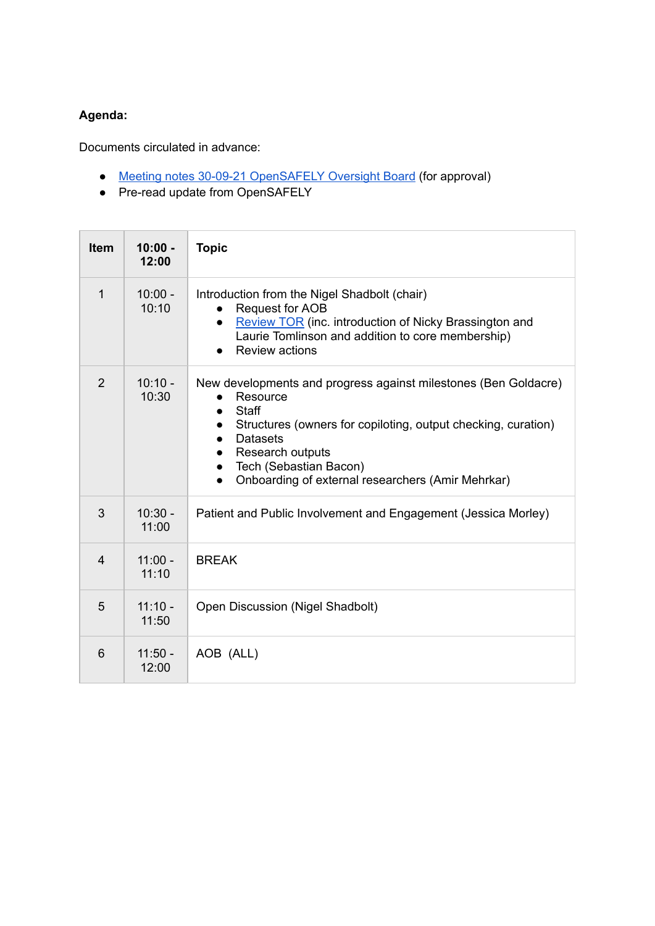## **Agenda:**

Documents circulated in advance:

- Meeting notes 30-09-21 [OpenSAFELY](https://www.opensafely.org/governance/opensafely-oversight-board-meeting-notes-2021-09-30.pdf) Oversight Board (for approval)
- Pre-read update from OpenSAFELY

| <b>Item</b>    | $10:00 -$<br>12:00 | <b>Topic</b>                                                                                                                                                                                                                                                                                                              |
|----------------|--------------------|---------------------------------------------------------------------------------------------------------------------------------------------------------------------------------------------------------------------------------------------------------------------------------------------------------------------------|
| 1              | $10:00 -$<br>10:10 | Introduction from the Nigel Shadbolt (chair)<br>Request for AOB<br><b>Review TOR</b> (inc. introduction of Nicky Brassington and<br>Laurie Tomlinson and addition to core membership)<br><b>Review actions</b>                                                                                                            |
| $\overline{2}$ | $10:10 -$<br>10:30 | New developments and progress against milestones (Ben Goldacre)<br>Resource<br><b>Staff</b><br>$\bullet$<br>Structures (owners for copiloting, output checking, curation)<br><b>Datasets</b><br>$\bullet$<br>Research outputs<br>$\bullet$<br>Tech (Sebastian Bacon)<br>Onboarding of external researchers (Amir Mehrkar) |
| 3              | $10:30 -$<br>11:00 | Patient and Public Involvement and Engagement (Jessica Morley)                                                                                                                                                                                                                                                            |
| $\overline{4}$ | $11:00 -$<br>11:10 | <b>BREAK</b>                                                                                                                                                                                                                                                                                                              |
| 5              | $11:10 -$<br>11:50 | Open Discussion (Nigel Shadbolt)                                                                                                                                                                                                                                                                                          |
| 6              | $11:50 -$<br>12:00 | AOB (ALL)                                                                                                                                                                                                                                                                                                                 |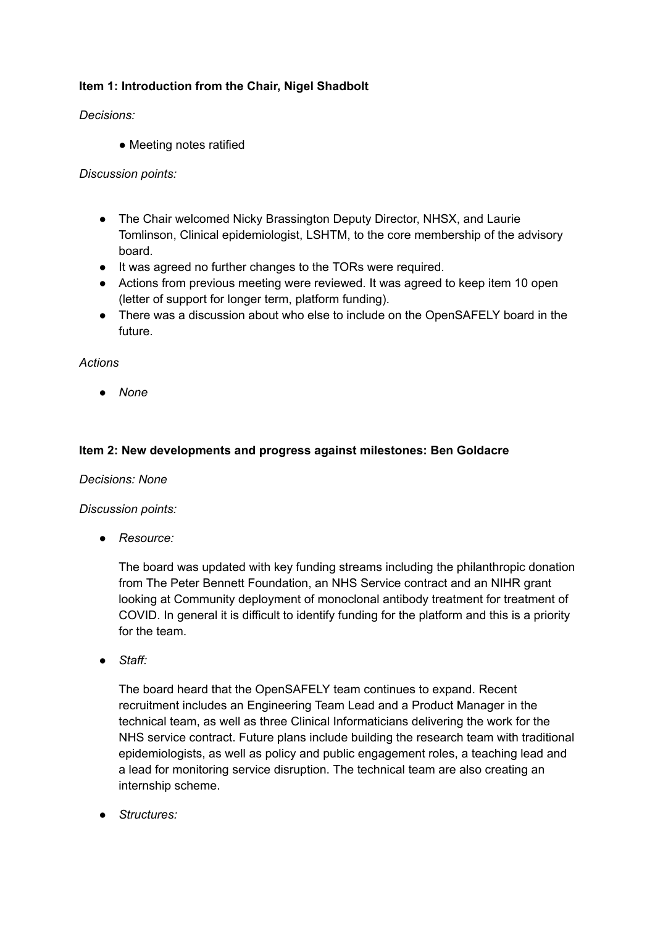## **Item 1: Introduction from the Chair, Nigel Shadbolt**

*Decisions:*

• Meeting notes ratified

*Discussion points:*

- The Chair welcomed Nicky Brassington Deputy Director, NHSX, and Laurie Tomlinson, Clinical epidemiologist, LSHTM, to the core membership of the advisory board.
- It was agreed no further changes to the TORs were required.
- Actions from previous meeting were reviewed. It was agreed to keep item 10 open (letter of support for longer term, platform funding).
- There was a discussion about who else to include on the OpenSAFELY board in the future.

#### *Actions*

*● None*

## **Item 2: New developments and progress against milestones: Ben Goldacre**

#### *Decisions: None*

#### *Discussion points:*

*● Resource:*

The board was updated with key funding streams including the philanthropic donation from The Peter Bennett Foundation, an NHS Service contract and an NIHR grant looking at Community deployment of monoclonal antibody treatment for treatment of COVID. In general it is difficult to identify funding for the platform and this is a priority for the team.

*● Staff:*

The board heard that the OpenSAFELY team continues to expand. Recent recruitment includes an Engineering Team Lead and a Product Manager in the technical team, as well as three Clinical Informaticians delivering the work for the NHS service contract. Future plans include building the research team with traditional epidemiologists, as well as policy and public engagement roles, a teaching lead and a lead for monitoring service disruption. The technical team are also creating an internship scheme.

*● Structures:*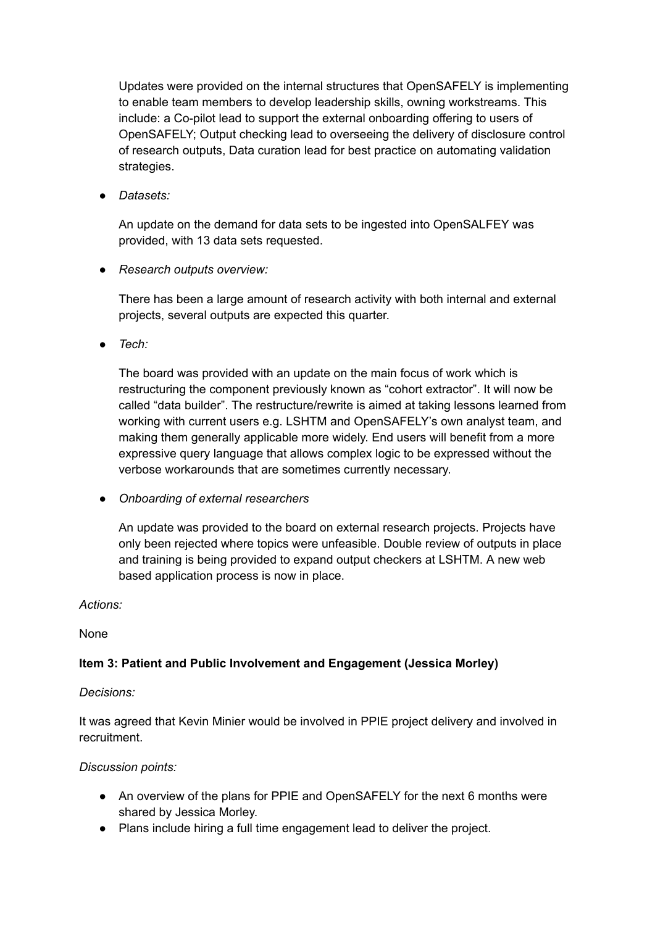Updates were provided on the internal structures that OpenSAFELY is implementing to enable team members to develop leadership skills, owning workstreams. This include: a Co-pilot lead to support the external onboarding offering to users of OpenSAFELY; Output checking lead to overseeing the delivery of disclosure control of research outputs, Data curation lead for best practice on automating validation strategies.

*● Datasets:*

An update on the demand for data sets to be ingested into OpenSALFEY was provided, with 13 data sets requested.

*● Research outputs overview:*

There has been a large amount of research activity with both internal and external projects, several outputs are expected this quarter.

*● Tech:*

The board was provided with an update on the main focus of work which is restructuring the component previously known as "cohort extractor". It will now be called "data builder". The restructure/rewrite is aimed at taking lessons learned from working with current users e.g. LSHTM and OpenSAFELY's own analyst team, and making them generally applicable more widely. End users will benefit from a more expressive query language that allows complex logic to be expressed without the verbose workarounds that are sometimes currently necessary.

*● Onboarding of external researchers*

An update was provided to the board on external research projects. Projects have only been rejected where topics were unfeasible. Double review of outputs in place and training is being provided to expand output checkers at LSHTM. A new web based application process is now in place.

*Actions:*

None

## **Item 3: Patient and Public Involvement and Engagement (Jessica Morley)**

*Decisions:*

It was agreed that Kevin Minier would be involved in PPIE project delivery and involved in recruitment.

#### *Discussion points:*

- An overview of the plans for PPIE and OpenSAFELY for the next 6 months were shared by Jessica Morley.
- Plans include hiring a full time engagement lead to deliver the project.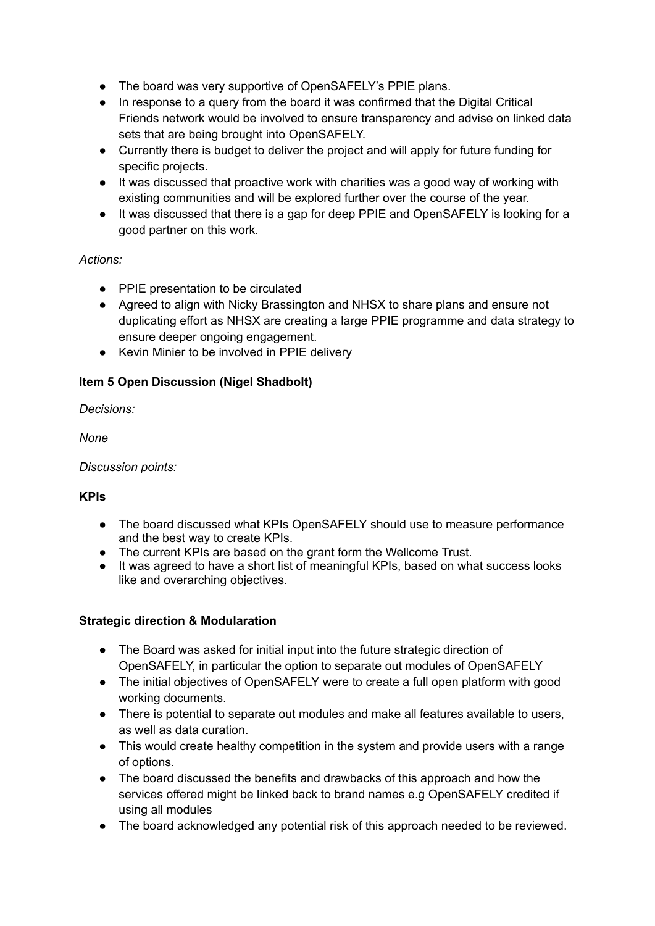- The board was very supportive of OpenSAFELY's PPIE plans.
- In response to a query from the board it was confirmed that the Digital Critical Friends network would be involved to ensure transparency and advise on linked data sets that are being brought into OpenSAFELY.
- Currently there is budget to deliver the project and will apply for future funding for specific projects.
- It was discussed that proactive work with charities was a good way of working with existing communities and will be explored further over the course of the year.
- It was discussed that there is a gap for deep PPIE and OpenSAFELY is looking for a good partner on this work.

## *Actions:*

- PPIE presentation to be circulated
- Agreed to align with Nicky Brassington and NHSX to share plans and ensure not duplicating effort as NHSX are creating a large PPIE programme and data strategy to ensure deeper ongoing engagement.
- Kevin Minier to be involved in PPIE delivery

## **Item 5 Open Discussion (Nigel Shadbolt)**

*Decisions:*

*None*

*Discussion points:*

## **KPIs**

- The board discussed what KPIs OpenSAFELY should use to measure performance and the best way to create KPIs.
- The current KPIs are based on the grant form the Wellcome Trust.
- It was agreed to have a short list of meaningful KPIs, based on what success looks like and overarching objectives.

## **Strategic direction & Modularation**

- The Board was asked for initial input into the future strategic direction of OpenSAFELY, in particular the option to separate out modules of OpenSAFELY
- The initial objectives of OpenSAFELY were to create a full open platform with good working documents.
- There is potential to separate out modules and make all features available to users, as well as data curation.
- This would create healthy competition in the system and provide users with a range of options.
- The board discussed the benefits and drawbacks of this approach and how the services offered might be linked back to brand names e.g OpenSAFELY credited if using all modules
- The board acknowledged any potential risk of this approach needed to be reviewed.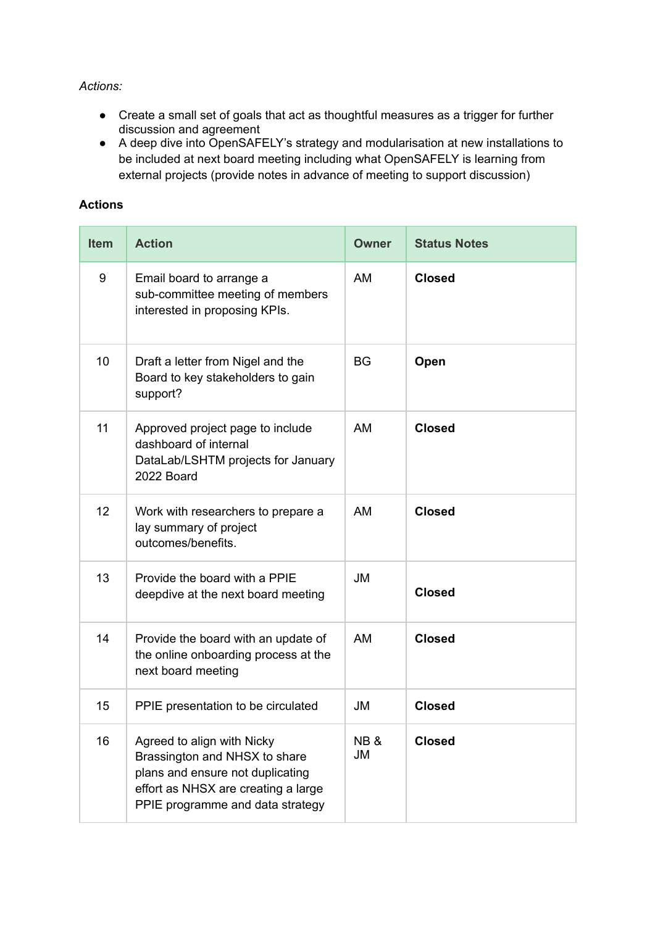#### *Actions:*

- Create a small set of goals that act as thoughtful measures as a trigger for further discussion and agreement
- A deep dive into OpenSAFELY's strategy and modularisation at new installations to be included at next board meeting including what OpenSAFELY is learning from external projects (provide notes in advance of meeting to support discussion)

#### **Actions**

| <b>Item</b> | <b>Action</b>                                                                                                                                                              | <b>Owner</b>         | <b>Status Notes</b> |
|-------------|----------------------------------------------------------------------------------------------------------------------------------------------------------------------------|----------------------|---------------------|
| 9           | Email board to arrange a<br>sub-committee meeting of members<br>interested in proposing KPIs.                                                                              | AM                   | <b>Closed</b>       |
| 10          | Draft a letter from Nigel and the<br>Board to key stakeholders to gain<br>support?                                                                                         | <b>BG</b>            | Open                |
| 11          | Approved project page to include<br>dashboard of internal<br>DataLab/LSHTM projects for January<br>2022 Board                                                              | AM                   | <b>Closed</b>       |
| 12          | Work with researchers to prepare a<br>lay summary of project<br>outcomes/benefits.                                                                                         | AM                   | <b>Closed</b>       |
| 13          | Provide the board with a PPIE<br>deepdive at the next board meeting                                                                                                        | <b>JM</b>            | <b>Closed</b>       |
| 14          | Provide the board with an update of<br>the online onboarding process at the<br>next board meeting                                                                          | <b>AM</b>            | <b>Closed</b>       |
| 15          | PPIE presentation to be circulated                                                                                                                                         | <b>JM</b>            | <b>Closed</b>       |
| 16          | Agreed to align with Nicky<br>Brassington and NHSX to share<br>plans and ensure not duplicating<br>effort as NHSX are creating a large<br>PPIE programme and data strategy | <b>NB&amp;</b><br>JM | <b>Closed</b>       |